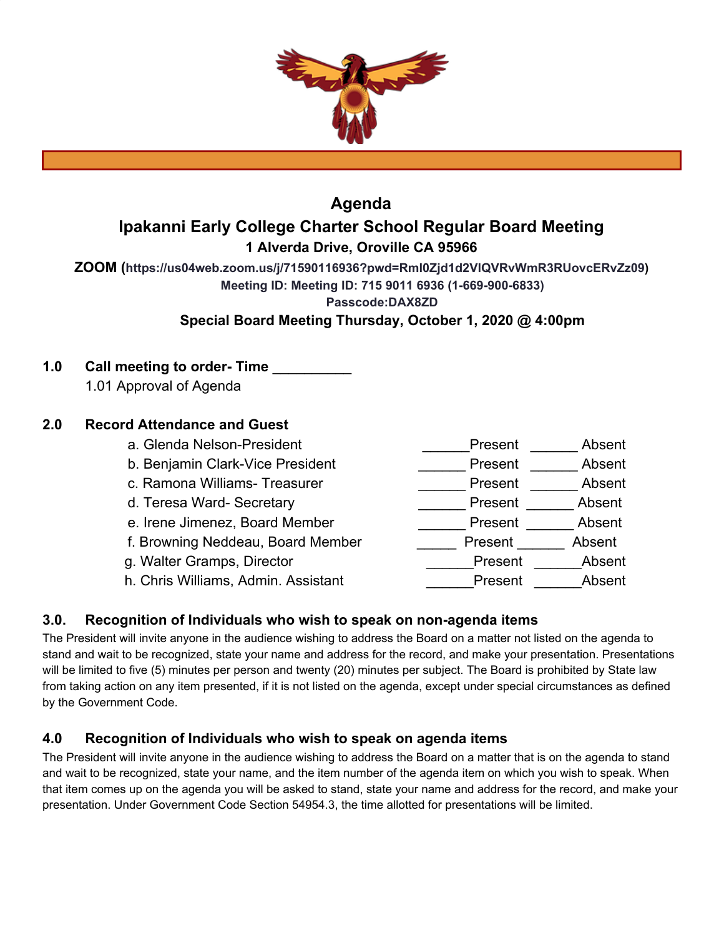

# **Agenda Ipakanni Early College Charter School Regular Board Meeting 1 Alverda Drive, Oroville CA 95966**

**ZOOM (https://us04web.zoom.us/j/71590116936?pwd=RmI0Zjd1d2VlQVRvWmR3RUovcERvZz09)**

**Meeting ID: Meeting ID: 715 9011 6936 (1-669-900-6833)**

**Passcode:DAX8ZD**

## **Special Board Meeting Thursday, October 1, 2020 @ 4:00pm**

# **1.0 Call meeting to order- Time** \_\_\_\_\_\_\_\_\_\_

1.01 Approval of Agenda

# **2.0 Record Attendance and Guest**

a. Glenda Nelson-President entitled and the Present and Absent b. Benjamin Clark-Vice President \_\_\_\_\_\_\_\_\_\_\_\_\_\_\_\_\_\_\_ Present \_\_\_\_\_\_\_\_ Absent c. Ramona Williams- Treasurer expression of Present Absent d. Teresa Ward- Secretary **Absent 2018** Present 2018 Absent e. Irene Jimenez, Board Member **Example 2** Present Absent f. Browning Neddeau, Board Member \_\_\_\_\_\_\_ Present \_\_\_\_\_\_ Absent g. Walter Gramps, Director entitled and the Sevent Absent h. Chris Williams, Admin. Assistant \_\_\_\_\_\_\_\_\_\_\_\_\_\_\_\_Present \_\_\_\_\_\_\_\_\_Absent

# **3.0. Recognition of Individuals who wish to speak on non-agenda items**

The President will invite anyone in the audience wishing to address the Board on a matter not listed on the agenda to stand and wait to be recognized, state your name and address for the record, and make your presentation. Presentations will be limited to five (5) minutes per person and twenty (20) minutes per subject. The Board is prohibited by State law from taking action on any item presented, if it is not listed on the agenda, except under special circumstances as defined by the Government Code.

# **4.0 Recognition of Individuals who wish to speak on agenda items**

The President will invite anyone in the audience wishing to address the Board on a matter that is on the agenda to stand and wait to be recognized, state your name, and the item number of the agenda item on which you wish to speak. When that item comes up on the agenda you will be asked to stand, state your name and address for the record, and make your presentation. Under Government Code Section 54954.3, the time allotted for presentations will be limited.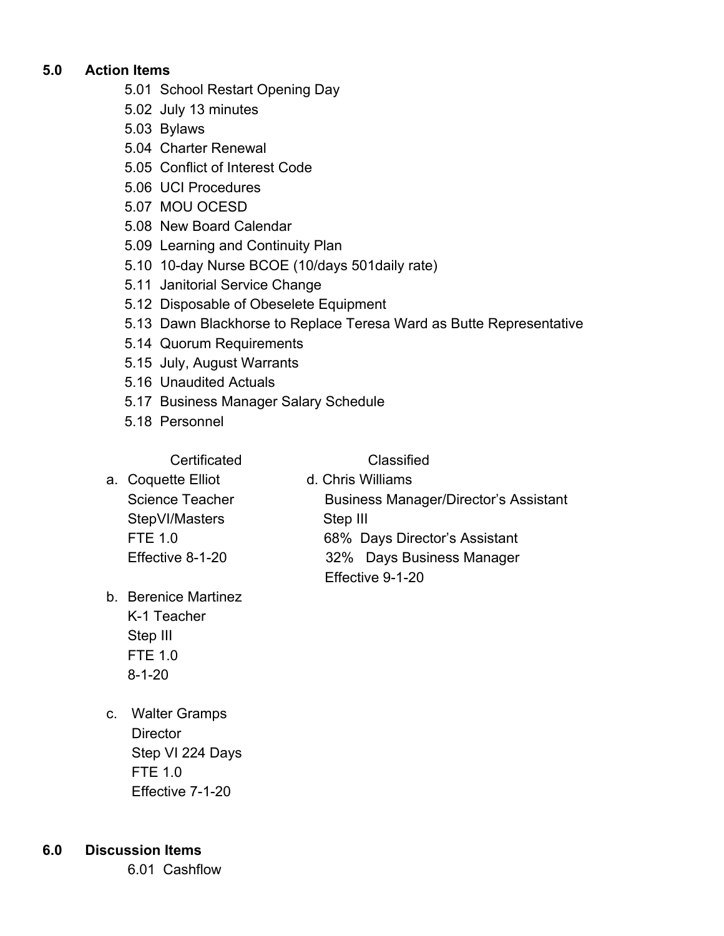## **5.0 Action Items**

- 5.01 School Restart Opening Day
- 5.02 July 13 minutes
- 5.03 Bylaws
- 5.04 Charter Renewal
- 5.05 Conflict of Interest Code
- 5.06 UCI Procedures
- 5.07 MOU OCESD
- 5.08 New Board Calendar
- 5.09 Learning and Continuity Plan
- 5.10 10-day Nurse BCOE (10/days 501daily rate)
- 5.11 Janitorial Service Change
- 5.12 Disposable of Obeselete Equipment
- 5.13 Dawn Blackhorse to Replace Teresa Ward as Butte Representative
- 5.14 Quorum Requirements
- 5.15 July, August Warrants
- 5.16 Unaudited Actuals
- 5.17 Business Manager Salary Schedule
- 5.18 Personnel

## Certificated Classified

a. Coquette Elliot d. Chris Williams StepVI/Masters Step III

Science Teacher **Business Manager/Director's Assistant** FTE 1.0 68% Days Director's Assistant Effective 8-1-20 32% Days Business Manager Effective 9-1-20

- b. Berenice Martinez K-1 Teacher Step III FTE 1.0 8-1-20
- c. Walter Gramps **Director**  Step VI 224 Days FTE 1.0 Effective 7-1-20

## **6.0 Discussion Items**

6.01 Cashflow